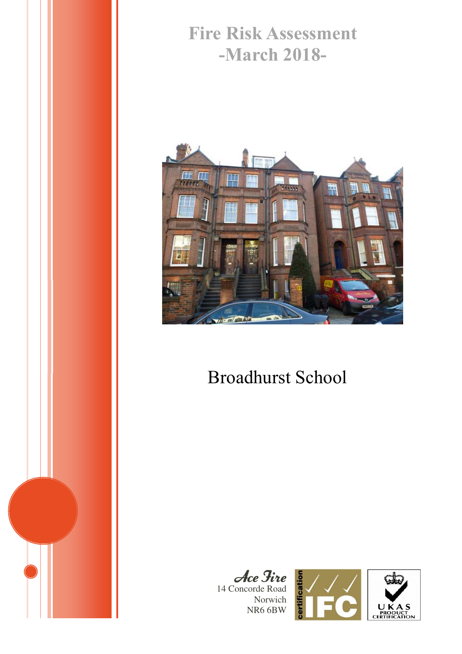# **Fire Risk Assessment -March 2018-**



# Broadhurst School

Ace Fire 14 Concorde Road Norwich NR6 6BW



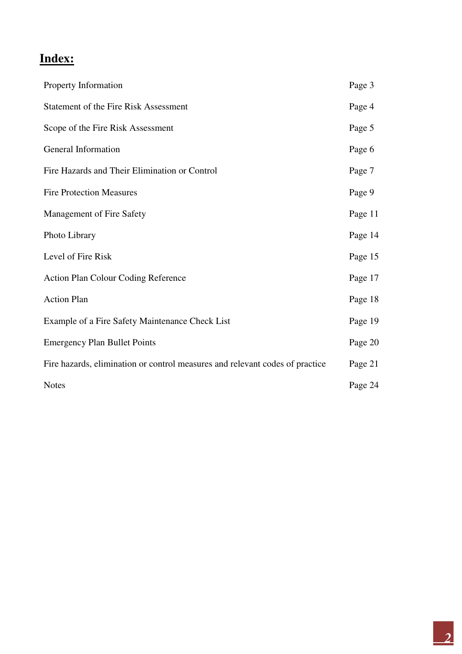## **Index:**

| Property Information                                                         | Page 3  |
|------------------------------------------------------------------------------|---------|
| <b>Statement of the Fire Risk Assessment</b>                                 | Page 4  |
| Scope of the Fire Risk Assessment                                            | Page 5  |
| General Information                                                          | Page 6  |
| Fire Hazards and Their Elimination or Control                                | Page 7  |
| <b>Fire Protection Measures</b>                                              | Page 9  |
| <b>Management of Fire Safety</b>                                             | Page 11 |
| Photo Library                                                                | Page 14 |
| Level of Fire Risk                                                           | Page 15 |
| <b>Action Plan Colour Coding Reference</b>                                   | Page 17 |
| <b>Action Plan</b>                                                           | Page 18 |
| Example of a Fire Safety Maintenance Check List                              | Page 19 |
| <b>Emergency Plan Bullet Points</b>                                          | Page 20 |
| Fire hazards, elimination or control measures and relevant codes of practice | Page 21 |
| <b>Notes</b>                                                                 | Page 24 |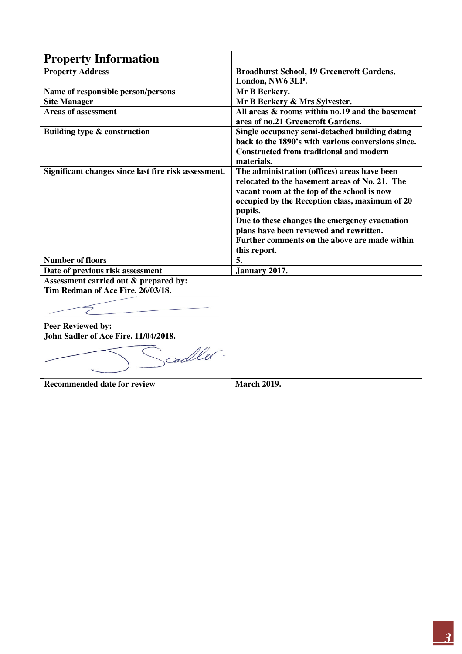| <b>Property Information</b>                          |                                                                      |
|------------------------------------------------------|----------------------------------------------------------------------|
| <b>Property Address</b>                              | <b>Broadhurst School, 19 Greencroft Gardens,</b><br>London, NW6 3LP. |
|                                                      |                                                                      |
| Name of responsible person/persons                   | Mr B Berkery.                                                        |
| <b>Site Manager</b>                                  | Mr B Berkery & Mrs Sylvester.                                        |
| <b>Areas of assessment</b>                           | All areas & rooms within no.19 and the basement                      |
|                                                      | area of no.21 Greencroft Gardens.                                    |
| Building type & construction                         | Single occupancy semi-detached building dating                       |
|                                                      | back to the 1890's with various conversions since.                   |
|                                                      | <b>Constructed from traditional and modern</b>                       |
|                                                      | materials.                                                           |
| Significant changes since last fire risk assessment. | The administration (offices) areas have been                         |
|                                                      | relocated to the basement areas of No. 21. The                       |
|                                                      | vacant room at the top of the school is now                          |
|                                                      | occupied by the Reception class, maximum of 20                       |
|                                                      | pupils.                                                              |
|                                                      | Due to these changes the emergency evacuation                        |
|                                                      | plans have been reviewed and rewritten.                              |
|                                                      | Further comments on the above are made within                        |
|                                                      | this report.                                                         |
| <b>Number of floors</b>                              | 5.                                                                   |
| Date of previous risk assessment                     | January 2017.                                                        |
| Assessment carried out & prepared by:                |                                                                      |
| Tim Redman of Ace Fire. 26/03/18.                    |                                                                      |
|                                                      |                                                                      |
|                                                      |                                                                      |
|                                                      |                                                                      |
| <b>Peer Reviewed by:</b>                             |                                                                      |
| John Sadler of Ace Fire. 11/04/2018.                 |                                                                      |
| coller.                                              |                                                                      |
| <b>Recommended date for review</b>                   | <b>March 2019.</b>                                                   |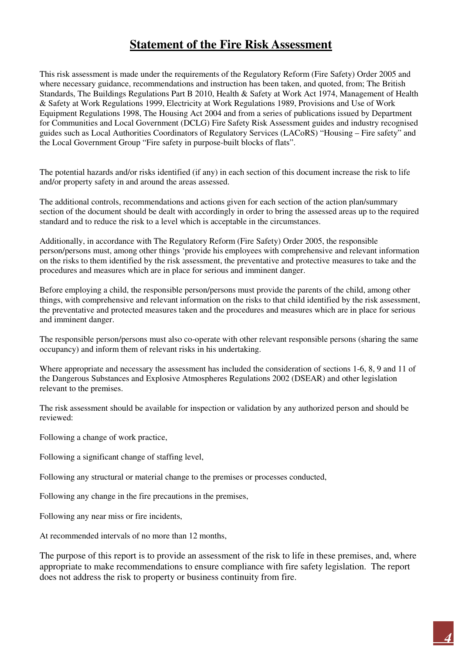## **Statement of the Fire Risk Assessment**

This risk assessment is made under the requirements of the Regulatory Reform (Fire Safety) Order 2005 and where necessary guidance, recommendations and instruction has been taken, and quoted, from; The British Standards, The Buildings Regulations Part B 2010, Health & Safety at Work Act 1974, Management of Health & Safety at Work Regulations 1999, Electricity at Work Regulations 1989, Provisions and Use of Work Equipment Regulations 1998, The Housing Act 2004 and from a series of publications issued by Department for Communities and Local Government (DCLG) Fire Safety Risk Assessment guides and industry recognised guides such as Local Authorities Coordinators of Regulatory Services (LACoRS) "Housing – Fire safety" and the Local Government Group "Fire safety in purpose-built blocks of flats".

The potential hazards and/or risks identified (if any) in each section of this document increase the risk to life and/or property safety in and around the areas assessed.

The additional controls, recommendations and actions given for each section of the action plan/summary section of the document should be dealt with accordingly in order to bring the assessed areas up to the required standard and to reduce the risk to a level which is acceptable in the circumstances.

Additionally, in accordance with The Regulatory Reform (Fire Safety) Order 2005, the responsible person/persons must, among other things 'provide his employees with comprehensive and relevant information on the risks to them identified by the risk assessment, the preventative and protective measures to take and the procedures and measures which are in place for serious and imminent danger.

Before employing a child, the responsible person/persons must provide the parents of the child, among other things, with comprehensive and relevant information on the risks to that child identified by the risk assessment, the preventative and protected measures taken and the procedures and measures which are in place for serious and imminent danger.

The responsible person/persons must also co-operate with other relevant responsible persons (sharing the same occupancy) and inform them of relevant risks in his undertaking.

Where appropriate and necessary the assessment has included the consideration of sections 1-6, 8, 9 and 11 of the Dangerous Substances and Explosive Atmospheres Regulations 2002 (DSEAR) and other legislation relevant to the premises.

The risk assessment should be available for inspection or validation by any authorized person and should be reviewed:

Following a change of work practice,

Following a significant change of staffing level,

Following any structural or material change to the premises or processes conducted,

Following any change in the fire precautions in the premises,

Following any near miss or fire incidents,

At recommended intervals of no more than 12 months,

The purpose of this report is to provide an assessment of the risk to life in these premises, and, where appropriate to make recommendations to ensure compliance with fire safety legislation. The report does not address the risk to property or business continuity from fire.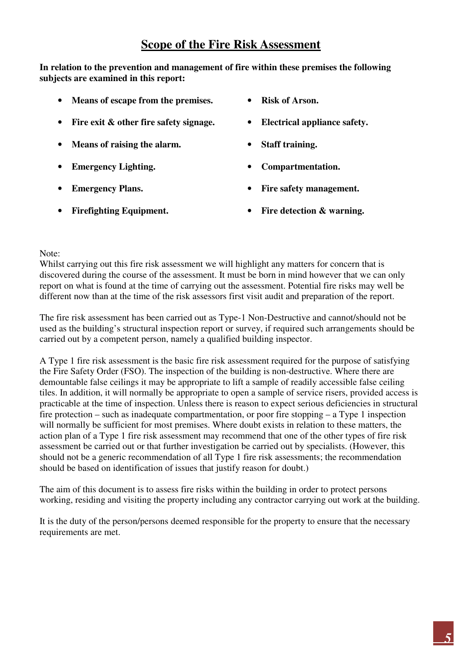### **Scope of the Fire Risk Assessment**

**In relation to the prevention and management of fire within these premises the following subjects are examined in this report:** 

- **Means of escape from the premises.**
- **Fire exit & other fire safety signage.**
- **Means of raising the alarm.**
- **Emergency Lighting.**
- **Emergency Plans.**
- **Firefighting Equipment.**
- **Risk of Arson.**
- **Electrical appliance safety.**
- **Staff training.**
- **Compartmentation.**
- **Fire safety management.**
- **Fire detection & warning.**

Note:

Whilst carrying out this fire risk assessment we will highlight any matters for concern that is discovered during the course of the assessment. It must be born in mind however that we can only report on what is found at the time of carrying out the assessment. Potential fire risks may well be different now than at the time of the risk assessors first visit audit and preparation of the report.

The fire risk assessment has been carried out as Type-1 Non-Destructive and cannot/should not be used as the building's structural inspection report or survey, if required such arrangements should be carried out by a competent person, namely a qualified building inspector.

A Type 1 fire risk assessment is the basic fire risk assessment required for the purpose of satisfying the Fire Safety Order (FSO). The inspection of the building is non-destructive. Where there are demountable false ceilings it may be appropriate to lift a sample of readily accessible false ceiling tiles. In addition, it will normally be appropriate to open a sample of service risers, provided access is practicable at the time of inspection. Unless there is reason to expect serious deficiencies in structural fire protection – such as inadequate compartmentation, or poor fire stopping – a Type 1 inspection will normally be sufficient for most premises. Where doubt exists in relation to these matters, the action plan of a Type 1 fire risk assessment may recommend that one of the other types of fire risk assessment be carried out or that further investigation be carried out by specialists. (However, this should not be a generic recommendation of all Type 1 fire risk assessments; the recommendation should be based on identification of issues that justify reason for doubt.)

The aim of this document is to assess fire risks within the building in order to protect persons working, residing and visiting the property including any contractor carrying out work at the building.

It is the duty of the person/persons deemed responsible for the property to ensure that the necessary requirements are met.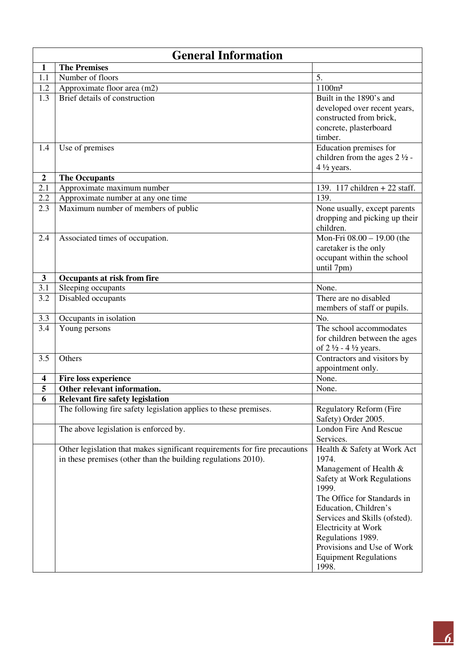|                  | <b>General Information</b>                                                                                                                  |                                                                                                                                                                                                                                                                                                                   |  |  |
|------------------|---------------------------------------------------------------------------------------------------------------------------------------------|-------------------------------------------------------------------------------------------------------------------------------------------------------------------------------------------------------------------------------------------------------------------------------------------------------------------|--|--|
| 1                | <b>The Premises</b>                                                                                                                         |                                                                                                                                                                                                                                                                                                                   |  |  |
| 1.1              | Number of floors                                                                                                                            | 5.                                                                                                                                                                                                                                                                                                                |  |  |
| 1.2              | Approximate floor area (m2)                                                                                                                 | 1100m <sup>2</sup>                                                                                                                                                                                                                                                                                                |  |  |
| 1.3              | <b>Brief details of construction</b>                                                                                                        | Built in the 1890's and<br>developed over recent years,<br>constructed from brick,<br>concrete, plasterboard<br>timber.                                                                                                                                                                                           |  |  |
| 1.4              | Use of premises                                                                                                                             | Education premises for<br>children from the ages $2\frac{1}{2}$ -<br>$4\frac{1}{2}$ years.                                                                                                                                                                                                                        |  |  |
| $\boldsymbol{2}$ | <b>The Occupants</b>                                                                                                                        |                                                                                                                                                                                                                                                                                                                   |  |  |
| 2.1              | Approximate maximum number                                                                                                                  | 139. 117 children + 22 staff.                                                                                                                                                                                                                                                                                     |  |  |
| 2.2              | Approximate number at any one time                                                                                                          | 139.                                                                                                                                                                                                                                                                                                              |  |  |
| 2.3              | Maximum number of members of public                                                                                                         | None usually, except parents<br>dropping and picking up their<br>children.                                                                                                                                                                                                                                        |  |  |
| 2.4              | Associated times of occupation.                                                                                                             | Mon-Fri $08.00 - 19.00$ (the<br>caretaker is the only<br>occupant within the school<br>until 7pm)                                                                                                                                                                                                                 |  |  |
| $\mathbf{3}$     | Occupants at risk from fire                                                                                                                 |                                                                                                                                                                                                                                                                                                                   |  |  |
| 3.1              | Sleeping occupants                                                                                                                          | None.                                                                                                                                                                                                                                                                                                             |  |  |
| 3.2              | Disabled occupants                                                                                                                          | There are no disabled<br>members of staff or pupils.                                                                                                                                                                                                                                                              |  |  |
| 3.3              | Occupants in isolation                                                                                                                      | No.                                                                                                                                                                                                                                                                                                               |  |  |
| 3.4              | Young persons                                                                                                                               | The school accommodates<br>for children between the ages<br>of $2\frac{1}{2}$ - 4 $\frac{1}{2}$ years.                                                                                                                                                                                                            |  |  |
| 3.5              | Others                                                                                                                                      | Contractors and visitors by<br>appointment only.                                                                                                                                                                                                                                                                  |  |  |
| 4                | <b>Fire loss experience</b>                                                                                                                 | None.                                                                                                                                                                                                                                                                                                             |  |  |
| 5                | Other relevant information.                                                                                                                 | None.                                                                                                                                                                                                                                                                                                             |  |  |
| 6                | <b>Relevant fire safety legislation</b>                                                                                                     |                                                                                                                                                                                                                                                                                                                   |  |  |
|                  | The following fire safety legislation applies to these premises.                                                                            | <b>Regulatory Reform (Fire</b><br>Safety) Order 2005.                                                                                                                                                                                                                                                             |  |  |
|                  | The above legislation is enforced by.                                                                                                       | <b>London Fire And Rescue</b><br>Services.                                                                                                                                                                                                                                                                        |  |  |
|                  | Other legislation that makes significant requirements for fire precautions<br>in these premises (other than the building regulations 2010). | Health & Safety at Work Act<br>1974.<br>Management of Health &<br>Safety at Work Regulations<br>1999.<br>The Office for Standards in<br>Education, Children's<br>Services and Skills (ofsted).<br>Electricity at Work<br>Regulations 1989.<br>Provisions and Use of Work<br><b>Equipment Regulations</b><br>1998. |  |  |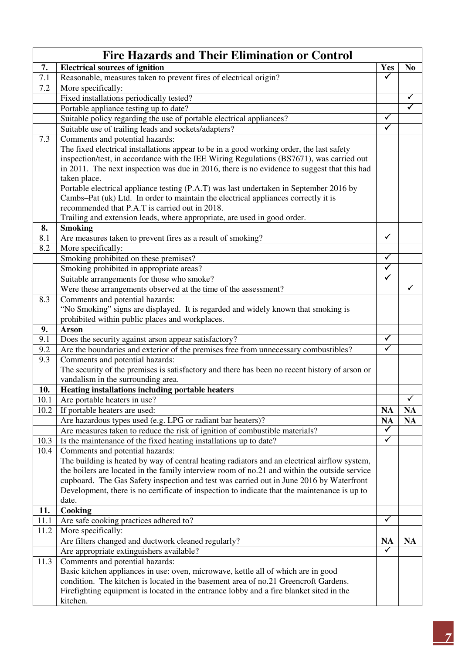|             | <b>Fire Hazards and Their Elimination or Control</b>                                          |                      |                      |
|-------------|-----------------------------------------------------------------------------------------------|----------------------|----------------------|
| 7.          | <b>Electrical sources of ignition</b>                                                         | <b>Yes</b>           | N <sub>0</sub>       |
| 7.1         | Reasonable, measures taken to prevent fires of electrical origin?                             | $\checkmark$         |                      |
| 7.2         | More specifically:                                                                            |                      |                      |
|             | Fixed installations periodically tested?                                                      |                      | ✓                    |
|             | Portable appliance testing up to date?                                                        |                      | $\blacktriangledown$ |
|             | Suitable policy regarding the use of portable electrical appliances?                          | ✓                    |                      |
|             | Suitable use of trailing leads and sockets/adapters?                                          | ✓                    |                      |
| 7.3         | Comments and potential hazards:                                                               |                      |                      |
|             | The fixed electrical installations appear to be in a good working order, the last safety      |                      |                      |
|             | inspection/test, in accordance with the IEE Wiring Regulations (BS7671), was carried out      |                      |                      |
|             | in 2011. The next inspection was due in 2016, there is no evidence to suggest that this had   |                      |                      |
|             | taken place.                                                                                  |                      |                      |
|             | Portable electrical appliance testing (P.A.T) was last undertaken in September 2016 by        |                      |                      |
|             | Cambs–Pat (uk) Ltd. In order to maintain the electrical appliances correctly it is            |                      |                      |
|             | recommended that P.A.T is carried out in 2018.                                                |                      |                      |
|             | Trailing and extension leads, where appropriate, are used in good order.                      |                      |                      |
| 8.<br>8.1   | <b>Smoking</b>                                                                                | ✓                    |                      |
| 8.2         | Are measures taken to prevent fires as a result of smoking?<br>More specifically:             |                      |                      |
|             | Smoking prohibited on these premises?                                                         | $\checkmark$         |                      |
|             | Smoking prohibited in appropriate areas?                                                      | ✓                    |                      |
|             | Suitable arrangements for those who smoke?                                                    | $\blacktriangledown$ |                      |
|             | Were these arrangements observed at the time of the assessment?                               |                      | $\checkmark$         |
| 8.3         | Comments and potential hazards:                                                               |                      |                      |
|             | "No Smoking" signs are displayed. It is regarded and widely known that smoking is             |                      |                      |
|             | prohibited within public places and workplaces.                                               |                      |                      |
| 9.          | <b>Arson</b>                                                                                  |                      |                      |
| 9.1         | Does the security against arson appear satisfactory?                                          | ✓                    |                      |
| 9.2         | Are the boundaries and exterior of the premises free from unnecessary combustibles?           | $\checkmark$         |                      |
| 9.3         | Comments and potential hazards:                                                               |                      |                      |
|             | The security of the premises is satisfactory and there has been no recent history of arson or |                      |                      |
|             | vandalism in the surrounding area.                                                            |                      |                      |
| 10.         | <b>Heating installations including portable heaters</b>                                       |                      |                      |
| 10.1        | Are portable heaters in use?                                                                  |                      | ✔                    |
| 10.2        | If portable heaters are used:                                                                 | <b>NA</b>            | <b>NA</b>            |
|             | Are hazardous types used (e.g. LPG or radiant bar heaters)?                                   | <b>NA</b>            | <b>NA</b>            |
|             | Are measures taken to reduce the risk of ignition of combustible materials?                   | $\checkmark$         |                      |
| 10.3        | Is the maintenance of the fixed heating installations up to date?                             | $\checkmark$         |                      |
| 10.4        | Comments and potential hazards:                                                               |                      |                      |
|             | The building is heated by way of central heating radiators and an electrical airflow system,  |                      |                      |
|             | the boilers are located in the family interview room of no.21 and within the outside service  |                      |                      |
|             | cupboard. The Gas Safety inspection and test was carried out in June 2016 by Waterfront       |                      |                      |
|             | Development, there is no certificate of inspection to indicate that the maintenance is up to  |                      |                      |
|             | date.                                                                                         |                      |                      |
| 11.<br>11.1 | Cooking                                                                                       | $\checkmark$         |                      |
| 11.2        | Are safe cooking practices adhered to?<br>More specifically:                                  |                      |                      |
|             | Are filters changed and ductwork cleaned regularly?                                           | <b>NA</b>            | <b>NA</b>            |
|             | Are appropriate extinguishers available?                                                      | ✓                    |                      |
| 11.3        | Comments and potential hazards:                                                               |                      |                      |
|             | Basic kitchen appliances in use: oven, microwave, kettle all of which are in good             |                      |                      |
|             | condition. The kitchen is located in the basement area of no.21 Greencroft Gardens.           |                      |                      |
|             | Firefighting equipment is located in the entrance lobby and a fire blanket sited in the       |                      |                      |
|             | kitchen.                                                                                      |                      |                      |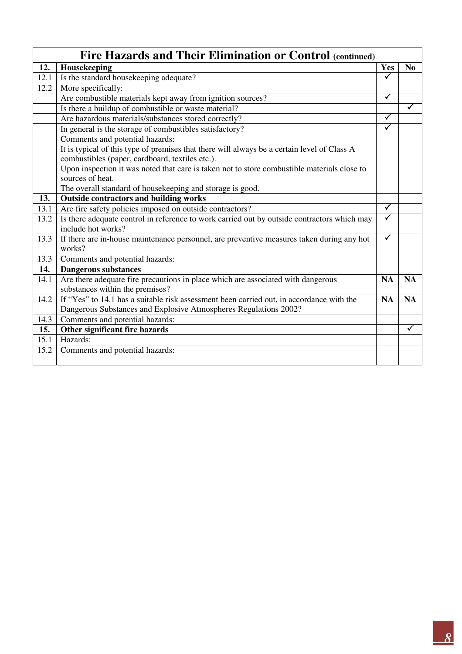|      | Fire Hazards and Their Elimination or Control (continued)                                                           |                         |                |
|------|---------------------------------------------------------------------------------------------------------------------|-------------------------|----------------|
| 12.  | Housekeeping                                                                                                        | Yes                     | N <sub>0</sub> |
| 12.1 | Is the standard housekeeping adequate?                                                                              | $\overline{\checkmark}$ |                |
| 12.2 | More specifically:                                                                                                  |                         |                |
|      | Are combustible materials kept away from ignition sources?                                                          | $\checkmark$            |                |
|      | Is there a buildup of combustible or waste material?                                                                |                         | $\checkmark$   |
|      | Are hazardous materials/substances stored correctly?                                                                | $\checkmark$            |                |
|      | In general is the storage of combustibles satisfactory?                                                             | $\blacktriangledown$    |                |
|      | Comments and potential hazards:                                                                                     |                         |                |
|      | It is typical of this type of premises that there will always be a certain level of Class A                         |                         |                |
|      | combustibles (paper, cardboard, textiles etc.).                                                                     |                         |                |
|      | Upon inspection it was noted that care is taken not to store combustible materials close to                         |                         |                |
|      | sources of heat.                                                                                                    |                         |                |
|      | The overall standard of housekeeping and storage is good.                                                           |                         |                |
| 13.  | <b>Outside contractors and building works</b>                                                                       |                         |                |
| 13.1 | Are fire safety policies imposed on outside contractors?                                                            | $\checkmark$            |                |
| 13.2 | Is there adequate control in reference to work carried out by outside contractors which may                         |                         |                |
|      | include hot works?                                                                                                  |                         |                |
| 13.3 | If there are in-house maintenance personnel, are preventive measures taken during any hot<br>works?                 | $\checkmark$            |                |
| 13.3 | Comments and potential hazards:                                                                                     |                         |                |
| 14.  | <b>Dangerous substances</b>                                                                                         |                         |                |
| 14.1 | Are there adequate fire precautions in place which are associated with dangerous<br>substances within the premises? | <b>NA</b>               | <b>NA</b>      |
| 14.2 | If "Yes" to 14.1 has a suitable risk assessment been carried out, in accordance with the                            | <b>NA</b>               | <b>NA</b>      |
|      | Dangerous Substances and Explosive Atmospheres Regulations 2002?                                                    |                         |                |
| 14.3 | Comments and potential hazards:                                                                                     |                         |                |
| 15.  | Other significant fire hazards                                                                                      |                         | ✓              |
| 15.1 | Hazards:                                                                                                            |                         |                |
| 15.2 | Comments and potential hazards:                                                                                     |                         |                |
|      |                                                                                                                     |                         |                |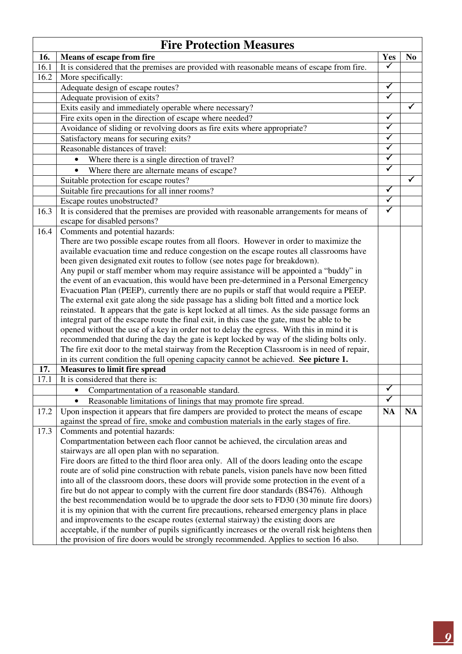|      | <b>Fire Protection Measures</b>                                                                                                                                                     |                      |                |
|------|-------------------------------------------------------------------------------------------------------------------------------------------------------------------------------------|----------------------|----------------|
| 16.  | <b>Means of escape from fire</b>                                                                                                                                                    | Yes                  | N <sub>0</sub> |
| 16.1 | It is considered that the premises are provided with reasonable means of escape from fire.                                                                                          | ✓                    |                |
| 16.2 | More specifically:                                                                                                                                                                  |                      |                |
|      | Adequate design of escape routes?                                                                                                                                                   | ✓                    |                |
|      | Adequate provision of exits?                                                                                                                                                        | $\checkmark$         |                |
|      | Exits easily and immediately operable where necessary?                                                                                                                              |                      | ✓              |
|      | Fire exits open in the direction of escape where needed?                                                                                                                            | $\checkmark$         |                |
|      | Avoidance of sliding or revolving doors as fire exits where appropriate?                                                                                                            | $\checkmark$         |                |
|      | Satisfactory means for securing exits?                                                                                                                                              | $\checkmark$         |                |
|      | Reasonable distances of travel:                                                                                                                                                     | $\checkmark$         |                |
|      | Where there is a single direction of travel?<br>$\bullet$                                                                                                                           | $\blacktriangledown$ |                |
|      | Where there are alternate means of escape?<br>$\bullet$                                                                                                                             | $\checkmark$         |                |
|      | Suitable protection for escape routes?                                                                                                                                              |                      | ✓              |
|      | Suitable fire precautions for all inner rooms?                                                                                                                                      | $\blacklozenge$      |                |
|      | Escape routes unobstructed?                                                                                                                                                         | ✓                    |                |
| 16.3 | It is considered that the premises are provided with reasonable arrangements for means of                                                                                           | $\checkmark$         |                |
|      | escape for disabled persons?                                                                                                                                                        |                      |                |
| 16.4 | Comments and potential hazards:                                                                                                                                                     |                      |                |
|      | There are two possible escape routes from all floors. However in order to maximize the                                                                                              |                      |                |
|      | available evacuation time and reduce congestion on the escape routes all classrooms have                                                                                            |                      |                |
|      | been given designated exit routes to follow (see notes page for breakdown).                                                                                                         |                      |                |
|      | Any pupil or staff member whom may require assistance will be appointed a "buddy" in                                                                                                |                      |                |
|      | the event of an evacuation, this would have been pre-determined in a Personal Emergency                                                                                             |                      |                |
|      | Evacuation Plan (PEEP), currently there are no pupils or staff that would require a PEEP.                                                                                           |                      |                |
|      | The external exit gate along the side passage has a sliding bolt fitted and a mortice lock                                                                                          |                      |                |
|      | reinstated. It appears that the gate is kept locked at all times. As the side passage forms an                                                                                      |                      |                |
|      | integral part of the escape route the final exit, in this case the gate, must be able to be                                                                                         |                      |                |
|      | opened without the use of a key in order not to delay the egress. With this in mind it is                                                                                           |                      |                |
|      | recommended that during the day the gate is kept locked by way of the sliding bolts only.                                                                                           |                      |                |
|      | The fire exit door to the metal stairway from the Reception Classroom is in need of repair,                                                                                         |                      |                |
|      | in its current condition the full opening capacity cannot be achieved. See picture 1.                                                                                               |                      |                |
| 17.  | <b>Measures to limit fire spread</b>                                                                                                                                                |                      |                |
| 17.1 | It is considered that there is:                                                                                                                                                     |                      |                |
|      | Compartmentation of a reasonable standard.                                                                                                                                          | ✓                    |                |
|      | Reasonable limitations of linings that may promote fire spread.                                                                                                                     | ✓                    |                |
| 17.2 | Upon inspection it appears that fire dampers are provided to protect the means of escape<br>against the spread of fire, smoke and combustion materials in the early stages of fire. | <b>NA</b>            | <b>NA</b>      |
| 17.3 | Comments and potential hazards:                                                                                                                                                     |                      |                |
|      | Compartmentation between each floor cannot be achieved, the circulation areas and                                                                                                   |                      |                |
|      | stairways are all open plan with no separation.                                                                                                                                     |                      |                |
|      | Fire doors are fitted to the third floor area only. All of the doors leading onto the escape                                                                                        |                      |                |
|      | route are of solid pine construction with rebate panels, vision panels have now been fitted                                                                                         |                      |                |
|      | into all of the classroom doors, these doors will provide some protection in the event of a                                                                                         |                      |                |
|      | fire but do not appear to comply with the current fire door standards (BS476). Although                                                                                             |                      |                |
|      | the best recommendation would be to upgrade the door sets to FD30 (30 minute fire doors)                                                                                            |                      |                |
|      | it is my opinion that with the current fire precautions, rehearsed emergency plans in place                                                                                         |                      |                |
|      | and improvements to the escape routes (external stairway) the existing doors are                                                                                                    |                      |                |
|      | acceptable, if the number of pupils significantly increases or the overall risk heightens then                                                                                      |                      |                |
|      | the provision of fire doors would be strongly recommended. Applies to section 16 also.                                                                                              |                      |                |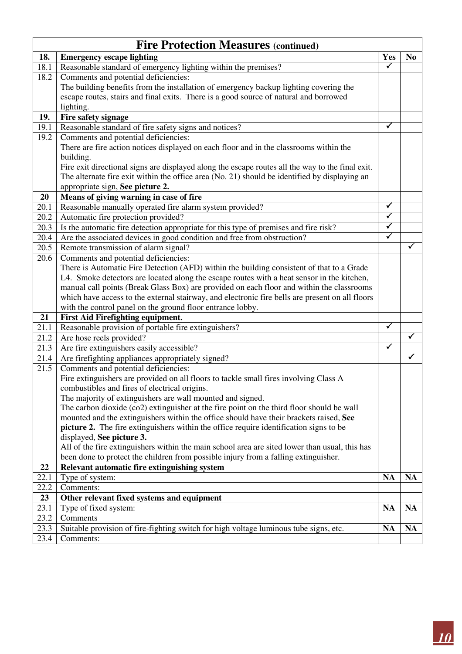|      | <b>Fire Protection Measures (continued)</b>                                                      |                         |                |  |
|------|--------------------------------------------------------------------------------------------------|-------------------------|----------------|--|
| 18.  | <b>Emergency escape lighting</b>                                                                 | Yes                     | N <sub>0</sub> |  |
| 18.1 | Reasonable standard of emergency lighting within the premises?                                   | $\checkmark$            |                |  |
| 18.2 | Comments and potential deficiencies:                                                             |                         |                |  |
|      | The building benefits from the installation of emergency backup lighting covering the            |                         |                |  |
|      | escape routes, stairs and final exits. There is a good source of natural and borrowed            |                         |                |  |
|      | lighting.                                                                                        |                         |                |  |
| 19.  | Fire safety signage                                                                              |                         |                |  |
| 19.1 | Reasonable standard of fire safety signs and notices?                                            | ✓                       |                |  |
| 19.2 | Comments and potential deficiencies:                                                             |                         |                |  |
|      | There are fire action notices displayed on each floor and in the classrooms within the           |                         |                |  |
|      | building.                                                                                        |                         |                |  |
|      | Fire exit directional signs are displayed along the escape routes all the way to the final exit. |                         |                |  |
|      | The alternate fire exit within the office area (No. 21) should be identified by displaying an    |                         |                |  |
|      | appropriate sign, See picture 2.                                                                 |                         |                |  |
| 20   | Means of giving warning in case of fire                                                          |                         |                |  |
| 20.1 | Reasonable manually operated fire alarm system provided?                                         | $\checkmark$            |                |  |
| 20.2 | Automatic fire protection provided?                                                              | $\overline{\checkmark}$ |                |  |
| 20.3 | Is the automatic fire detection appropriate for this type of premises and fire risk?             | $\blacktriangledown$    |                |  |
| 20.4 | Are the associated devices in good condition and free from obstruction?                          | $\checkmark$            |                |  |
| 20.5 | Remote transmission of alarm signal?                                                             |                         | ✓              |  |
| 20.6 | Comments and potential deficiencies:                                                             |                         |                |  |
|      | There is Automatic Fire Detection (AFD) within the building consistent of that to a Grade        |                         |                |  |
|      | L4. Smoke detectors are located along the escape routes with a heat sensor in the kitchen,       |                         |                |  |
|      | manual call points (Break Glass Box) are provided on each floor and within the classrooms        |                         |                |  |
|      | which have access to the external stairway, and electronic fire bells are present on all floors  |                         |                |  |
|      | with the control panel on the ground floor entrance lobby.                                       |                         |                |  |
| 21   | <b>First Aid Firefighting equipment.</b>                                                         |                         |                |  |
| 21.1 | Reasonable provision of portable fire extinguishers?                                             | $\checkmark$            |                |  |
| 21.2 | Are hose reels provided?                                                                         |                         | $\checkmark$   |  |
| 21.3 | Are fire extinguishers easily accessible?                                                        | ✓                       |                |  |
| 21.4 | Are firefighting appliances appropriately signed?                                                |                         | ✓              |  |
| 21.5 | Comments and potential deficiencies:                                                             |                         |                |  |
|      | Fire extinguishers are provided on all floors to tackle small fires involving Class A            |                         |                |  |
|      | combustibles and fires of electrical origins.                                                    |                         |                |  |
|      | The majority of extinguishers are wall mounted and signed.                                       |                         |                |  |
|      | The carbon dioxide (co2) extinguisher at the fire point on the third floor should be wall        |                         |                |  |
|      | mounted and the extinguishers within the office should have their brackets raised, See           |                         |                |  |
|      | picture 2. The fire extinguishers within the office require identification signs to be           |                         |                |  |
|      | displayed, See picture 3.                                                                        |                         |                |  |
|      | All of the fire extinguishers within the main school area are sited lower than usual, this has   |                         |                |  |
|      | been done to protect the children from possible injury from a falling extinguisher.              |                         |                |  |
| 22   | Relevant automatic fire extinguishing system                                                     |                         |                |  |
| 22.1 | Type of system:                                                                                  | <b>NA</b>               | <b>NA</b>      |  |
| 22.2 | Comments:                                                                                        |                         |                |  |
| 23   | Other relevant fixed systems and equipment                                                       |                         |                |  |
| 23.1 | Type of fixed system:                                                                            | <b>NA</b>               | <b>NA</b>      |  |
| 23.2 | Comments                                                                                         |                         |                |  |
| 23.3 | Suitable provision of fire-fighting switch for high voltage luminous tube signs, etc.            | <b>NA</b>               | <b>NA</b>      |  |
| 23.4 | Comments:                                                                                        |                         |                |  |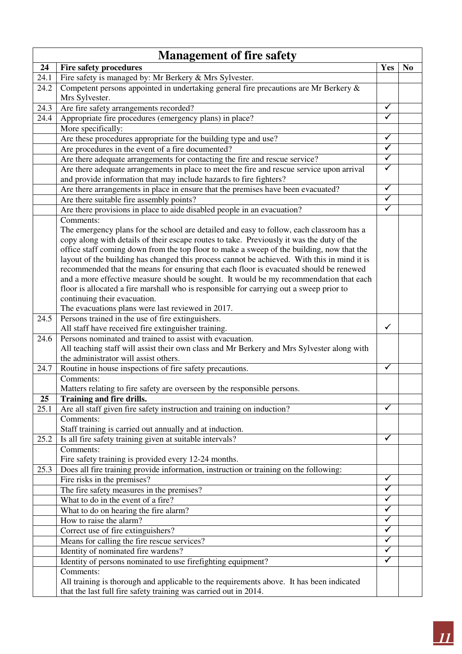|      | <b>Management of fire safety</b>                                                                                |                      |                |
|------|-----------------------------------------------------------------------------------------------------------------|----------------------|----------------|
| 24   | <b>Fire safety procedures</b>                                                                                   | <b>Yes</b>           | N <sub>0</sub> |
| 24.1 | Fire safety is managed by: Mr Berkery & Mrs Sylvester.                                                          |                      |                |
| 24.2 | Competent persons appointed in undertaking general fire precautions are Mr Berkery $\&$                         |                      |                |
|      | Mrs Sylvester.                                                                                                  |                      |                |
| 24.3 | Are fire safety arrangements recorded?                                                                          | $\checkmark$         |                |
| 24.4 | Appropriate fire procedures (emergency plans) in place?                                                         | $\checkmark$         |                |
|      | More specifically:                                                                                              |                      |                |
|      | Are these procedures appropriate for the building type and use?                                                 | $\checkmark$         |                |
|      | Are procedures in the event of a fire documented?                                                               | $\blacktriangledown$ |                |
|      | Are there adequate arrangements for contacting the fire and rescue service?                                     | $\checkmark$         |                |
|      | Are there adequate arrangements in place to meet the fire and rescue service upon arrival                       | $\blacktriangledown$ |                |
|      | and provide information that may include hazards to fire fighters?                                              |                      |                |
|      | Are there arrangements in place in ensure that the premises have been evacuated?                                | $\blacktriangledown$ |                |
|      | Are there suitable fire assembly points?                                                                        | $\checkmark$         |                |
|      | Are there provisions in place to aide disabled people in an evacuation?                                         | $\blacktriangledown$ |                |
|      | Comments:                                                                                                       |                      |                |
|      | The emergency plans for the school are detailed and easy to follow, each classroom has a                        |                      |                |
|      | copy along with details of their escape routes to take. Previously it was the duty of the                       |                      |                |
|      | office staff coming down from the top floor to make a sweep of the building, now that the                       |                      |                |
|      | layout of the building has changed this process cannot be achieved. With this in mind it is                     |                      |                |
|      | recommended that the means for ensuring that each floor is evacuated should be renewed                          |                      |                |
|      | and a more effective measure should be sought. It would be my recommendation that each                          |                      |                |
|      | floor is allocated a fire marshall who is responsible for carrying out a sweep prior to                         |                      |                |
|      | continuing their evacuation.                                                                                    |                      |                |
|      | The evacuations plans were last reviewed in 2017.                                                               |                      |                |
| 24.5 | Persons trained in the use of fire extinguishers.                                                               | $\checkmark$         |                |
| 24.6 | All staff have received fire extinguisher training.<br>Persons nominated and trained to assist with evacuation. |                      |                |
|      | All teaching staff will assist their own class and Mr Berkery and Mrs Sylvester along with                      |                      |                |
|      | the administrator will assist others.                                                                           |                      |                |
| 24.7 | Routine in house inspections of fire safety precautions.                                                        | $\checkmark$         |                |
|      | Comments:                                                                                                       |                      |                |
|      | Matters relating to fire safety are overseen by the responsible persons.                                        |                      |                |
| 25   | Training and fire drills.                                                                                       |                      |                |
| 25.1 | Are all staff given fire safety instruction and training on induction?                                          | ✓                    |                |
|      | Comments:                                                                                                       |                      |                |
|      | Staff training is carried out annually and at induction.                                                        |                      |                |
| 25.2 | Is all fire safety training given at suitable intervals?                                                        | ✓                    |                |
|      | Comments:                                                                                                       |                      |                |
|      | Fire safety training is provided every 12-24 months.                                                            |                      |                |
| 25.3 | Does all fire training provide information, instruction or training on the following:                           |                      |                |
|      | Fire risks in the premises?                                                                                     | $\checkmark$         |                |
|      | The fire safety measures in the premises?                                                                       | $\checkmark$         |                |
|      | What to do in the event of a fire?                                                                              | $\checkmark$         |                |
|      | What to do on hearing the fire alarm?                                                                           | $\checkmark$         |                |
|      | How to raise the alarm?                                                                                         | ✓                    |                |
|      | Correct use of fire extinguishers?                                                                              | $\checkmark$         |                |
|      | Means for calling the fire rescue services?                                                                     | $\checkmark$         |                |
|      | Identity of nominated fire wardens?                                                                             | $\checkmark$         |                |
|      | Identity of persons nominated to use firefighting equipment?                                                    | $\blacktriangledown$ |                |
|      | Comments:                                                                                                       |                      |                |
|      | All training is thorough and applicable to the requirements above. It has been indicated                        |                      |                |
|      | that the last full fire safety training was carried out in 2014.                                                |                      |                |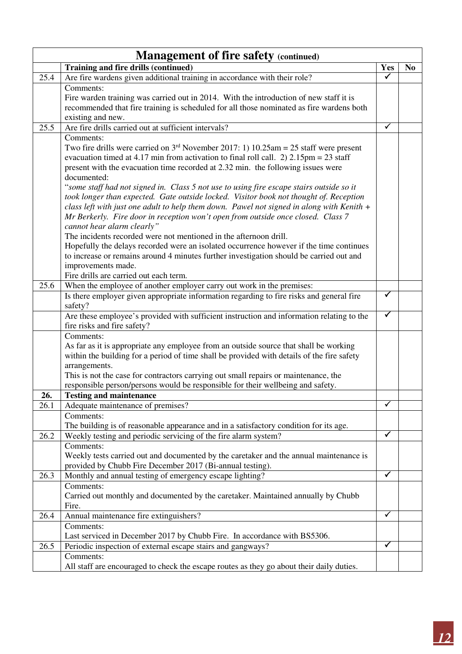|             | <b>Management of fire safety (continued)</b>                                                                                                                                               |              |                |
|-------------|--------------------------------------------------------------------------------------------------------------------------------------------------------------------------------------------|--------------|----------------|
|             | Training and fire drills (continued)                                                                                                                                                       | <b>Yes</b>   | N <sub>0</sub> |
| 25.4        | Are fire wardens given additional training in accordance with their role?                                                                                                                  | $\checkmark$ |                |
|             | Comments:                                                                                                                                                                                  |              |                |
|             | Fire warden training was carried out in 2014. With the introduction of new staff it is                                                                                                     |              |                |
|             | recommended that fire training is scheduled for all those nominated as fire wardens both                                                                                                   |              |                |
|             | existing and new.                                                                                                                                                                          |              |                |
| 25.5        | Are fire drills carried out at sufficient intervals?                                                                                                                                       | $\checkmark$ |                |
|             | Comments:                                                                                                                                                                                  |              |                |
|             | Two fire drills were carried on $3rd$ November 2017: 1) 10.25am = 25 staff were present<br>evacuation timed at 4.17 min from activation to final roll call. 2) $2.15 \text{pm} = 23$ staff |              |                |
|             | present with the evacuation time recorded at 2.32 min. the following issues were                                                                                                           |              |                |
|             | documented:                                                                                                                                                                                |              |                |
|             | "some staff had not signed in. Class 5 not use to using fire escape stairs outside so it                                                                                                   |              |                |
|             | took longer than expected. Gate outside locked. Visitor book not thought of. Reception                                                                                                     |              |                |
|             | class left with just one adult to help them down. Pawel not signed in along with Kenith $+$                                                                                                |              |                |
|             | Mr Berkerly. Fire door in reception won't open from outside once closed. Class 7                                                                                                           |              |                |
|             | cannot hear alarm clearly"                                                                                                                                                                 |              |                |
|             | The incidents recorded were not mentioned in the afternoon drill.                                                                                                                          |              |                |
|             | Hopefully the delays recorded were an isolated occurrence however if the time continues                                                                                                    |              |                |
|             | to increase or remains around 4 minutes further investigation should be carried out and                                                                                                    |              |                |
|             | improvements made.                                                                                                                                                                         |              |                |
| 25.6        | Fire drills are carried out each term.                                                                                                                                                     |              |                |
|             | When the employee of another employer carry out work in the premises:<br>Is there employer given appropriate information regarding to fire risks and general fire                          | $\checkmark$ |                |
|             | safety?                                                                                                                                                                                    |              |                |
|             | Are these employee's provided with sufficient instruction and information relating to the                                                                                                  | ✓            |                |
|             | fire risks and fire safety?                                                                                                                                                                |              |                |
|             | Comments:                                                                                                                                                                                  |              |                |
|             | As far as it is appropriate any employee from an outside source that shall be working                                                                                                      |              |                |
|             | within the building for a period of time shall be provided with details of the fire safety                                                                                                 |              |                |
|             | arrangements.                                                                                                                                                                              |              |                |
|             | This is not the case for contractors carrying out small repairs or maintenance, the                                                                                                        |              |                |
|             | responsible person/persons would be responsible for their wellbeing and safety.                                                                                                            |              |                |
| 26.<br>26.1 | <b>Testing and maintenance</b><br>Adequate maintenance of premises?                                                                                                                        | $\checkmark$ |                |
|             | Comments:                                                                                                                                                                                  |              |                |
|             | The building is of reasonable appearance and in a satisfactory condition for its age.                                                                                                      |              |                |
| 26.2        | Weekly testing and periodic servicing of the fire alarm system?                                                                                                                            | $\checkmark$ |                |
|             | Comments:                                                                                                                                                                                  |              |                |
|             | Weekly tests carried out and documented by the caretaker and the annual maintenance is                                                                                                     |              |                |
|             | provided by Chubb Fire December 2017 (Bi-annual testing).                                                                                                                                  |              |                |
| 26.3        | Monthly and annual testing of emergency escape lighting?                                                                                                                                   | ✓            |                |
|             | Comments:                                                                                                                                                                                  |              |                |
|             | Carried out monthly and documented by the caretaker. Maintained annually by Chubb                                                                                                          |              |                |
|             | Fire.                                                                                                                                                                                      | $\checkmark$ |                |
| 26.4        | Annual maintenance fire extinguishers?<br>Comments:                                                                                                                                        |              |                |
|             | Last serviced in December 2017 by Chubb Fire. In accordance with BS5306.                                                                                                                   |              |                |
| 26.5        | Periodic inspection of external escape stairs and gangways?                                                                                                                                | ✓            |                |
|             | Comments:                                                                                                                                                                                  |              |                |
|             | All staff are encouraged to check the escape routes as they go about their daily duties.                                                                                                   |              |                |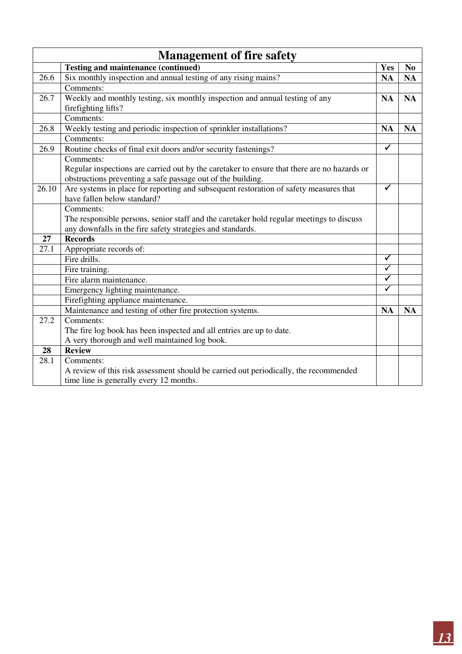|       | <b>Management of fire safety</b>                                                            |                      |                |
|-------|---------------------------------------------------------------------------------------------|----------------------|----------------|
|       | <b>Testing and maintenance (continued)</b>                                                  | Yes                  | N <sub>0</sub> |
| 26.6  | Six monthly inspection and annual testing of any rising mains?                              | <b>NA</b>            | <b>NA</b>      |
|       | Comments:                                                                                   |                      |                |
| 26.7  | Weekly and monthly testing, six monthly inspection and annual testing of any                | <b>NA</b>            | <b>NA</b>      |
|       | firefighting lifts?                                                                         |                      |                |
|       | Comments:                                                                                   |                      |                |
| 26.8  | Weekly testing and periodic inspection of sprinkler installations?                          | <b>NA</b>            | <b>NA</b>      |
|       | Comments:                                                                                   |                      |                |
| 26.9  | Routine checks of final exit doors and/or security fastenings?                              | $\checkmark$         |                |
|       | Comments:                                                                                   |                      |                |
|       | Regular inspections are carried out by the caretaker to ensure that there are no hazards or |                      |                |
|       | obstructions preventing a safe passage out of the building.                                 |                      |                |
| 26.10 | Are systems in place for reporting and subsequent restoration of safety measures that       | ✓                    |                |
|       | have fallen below standard?                                                                 |                      |                |
|       | Comments:                                                                                   |                      |                |
|       | The responsible persons, senior staff and the caretaker hold regular meetings to discuss    |                      |                |
|       | any downfalls in the fire safety strategies and standards.                                  |                      |                |
| 27    | <b>Records</b>                                                                              |                      |                |
| 27.1  | Appropriate records of:                                                                     |                      |                |
|       | Fire drills.                                                                                | ✓                    |                |
|       | Fire training.                                                                              | $\blacktriangledown$ |                |
|       | Fire alarm maintenance.                                                                     | ✓                    |                |
|       | Emergency lighting maintenance.                                                             | $\checkmark$         |                |
|       | Firefighting appliance maintenance.                                                         |                      |                |
|       | Maintenance and testing of other fire protection systems.                                   | <b>NA</b>            | <b>NA</b>      |
| 27.2  | Comments:                                                                                   |                      |                |
|       | The fire log book has been inspected and all entries are up to date.                        |                      |                |
|       | A very thorough and well maintained log book.                                               |                      |                |
| 28    | <b>Review</b>                                                                               |                      |                |
| 28.1  | Comments:                                                                                   |                      |                |
|       | A review of this risk assessment should be carried out periodically, the recommended        |                      |                |
|       | time line is generally every 12 months.                                                     |                      |                |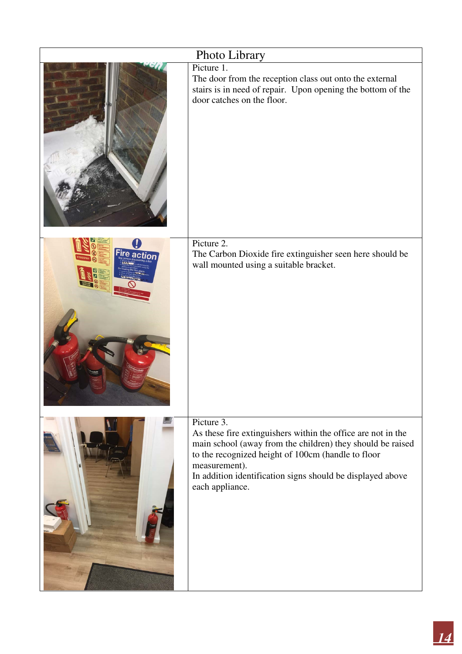|         | Photo Library                                                                                                                                                                                                                                                                                    |
|---------|--------------------------------------------------------------------------------------------------------------------------------------------------------------------------------------------------------------------------------------------------------------------------------------------------|
|         | Picture 1.<br>The door from the reception class out onto the external<br>stairs is in need of repair. Upon opening the bottom of the<br>door catches on the floor.                                                                                                                               |
| re acti | Picture 2.<br>The Carbon Dioxide fire extinguisher seen here should be<br>wall mounted using a suitable bracket.                                                                                                                                                                                 |
|         | Picture 3.<br>As these fire extinguishers within the office are not in the<br>main school (away from the children) they should be raised<br>to the recognized height of 100cm (handle to floor<br>measurement).<br>In addition identification signs should be displayed above<br>each appliance. |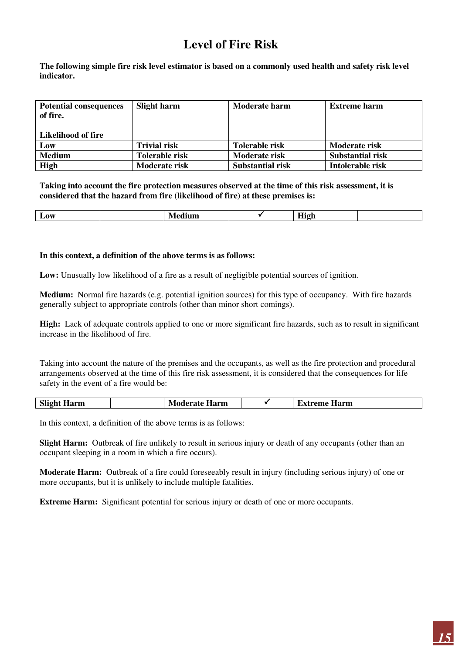## **Level of Fire Risk**

**The following simple fire risk level estimator is based on a commonly used health and safety risk level indicator.** 

| <b>Potential consequences</b><br>of fire.<br>Likelihood of fire | Slight harm          | <b>Moderate harm</b>    | <b>Extreme harm</b>     |
|-----------------------------------------------------------------|----------------------|-------------------------|-------------------------|
| Low                                                             | <b>Trivial risk</b>  | Tolerable risk          | Moderate risk           |
| <b>Medium</b>                                                   | Tolerable risk       | Moderate risk           | <b>Substantial risk</b> |
| <b>High</b>                                                     | <b>Moderate risk</b> | <b>Substantial risk</b> | Intolerable risk        |

**Taking into account the fire protection measures observed at the time of this risk assessment, it is considered that the hazard from fire (likelihood of fire) at these premises is:** 

| $\overline{\mathbf{w}}$<br>-- |
|-------------------------------|
|-------------------------------|

#### **In this context, a definition of the above terms is as follows:**

**Low:** Unusually low likelihood of a fire as a result of negligible potential sources of ignition.

**Medium:** Normal fire hazards (e.g. potential ignition sources) for this type of occupancy. With fire hazards generally subject to appropriate controls (other than minor short comings).

**High:** Lack of adequate controls applied to one or more significant fire hazards, such as to result in significant increase in the likelihood of fire.

Taking into account the nature of the premises and the occupants, as well as the fire protection and procedural arrangements observed at the time of this fire risk assessment, it is considered that the consequences for life safety in the event of a fire would be:

| <b>Slight Harm</b> | <b>Moderate Harm</b> |  | <b>Extreme Harm</b> |  |
|--------------------|----------------------|--|---------------------|--|
|--------------------|----------------------|--|---------------------|--|

In this context, a definition of the above terms is as follows:

**Slight Harm:** Outbreak of fire unlikely to result in serious injury or death of any occupants (other than an occupant sleeping in a room in which a fire occurs).

**Moderate Harm:** Outbreak of a fire could foreseeably result in injury (including serious injury) of one or more occupants, but it is unlikely to include multiple fatalities.

**Extreme Harm:** Significant potential for serious injury or death of one or more occupants.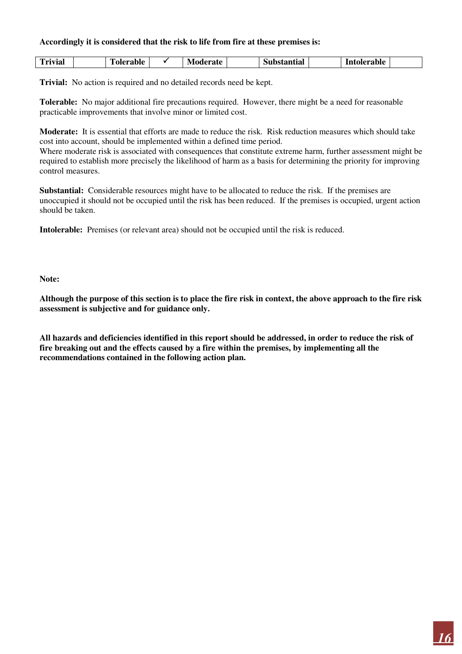#### **Accordingly it is considered that the risk to life from fire at these premises is:**

| $T$ vivial<br>tolerable<br>IV.<br>'erate :<br>lerable<br>tantial<br>1m<br>NHDS.<br> |
|-------------------------------------------------------------------------------------|
|-------------------------------------------------------------------------------------|

**Trivial:** No action is required and no detailed records need be kept.

**Tolerable:** No major additional fire precautions required. However, there might be a need for reasonable practicable improvements that involve minor or limited cost.

**Moderate:** It is essential that efforts are made to reduce the risk. Risk reduction measures which should take cost into account, should be implemented within a defined time period.

Where moderate risk is associated with consequences that constitute extreme harm, further assessment might be required to establish more precisely the likelihood of harm as a basis for determining the priority for improving control measures.

**Substantial:** Considerable resources might have to be allocated to reduce the risk. If the premises are unoccupied it should not be occupied until the risk has been reduced. If the premises is occupied, urgent action should be taken.

**Intolerable:** Premises (or relevant area) should not be occupied until the risk is reduced.

**Note:** 

 $\overline{\phantom{a}}$ 

**Although the purpose of this section is to place the fire risk in context, the above approach to the fire risk assessment is subjective and for guidance only.** 

**All hazards and deficiencies identified in this report should be addressed, in order to reduce the risk of fire breaking out and the effects caused by a fire within the premises, by implementing all the recommendations contained in the following action plan.**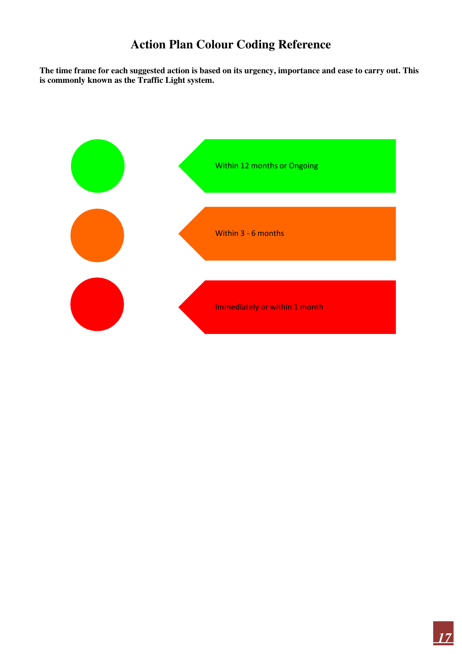## **Action Plan Colour Coding Reference**

**The time frame for each suggested action is based on its urgency, importance and ease to carry out. This is commonly known as the Traffic Light system.** 

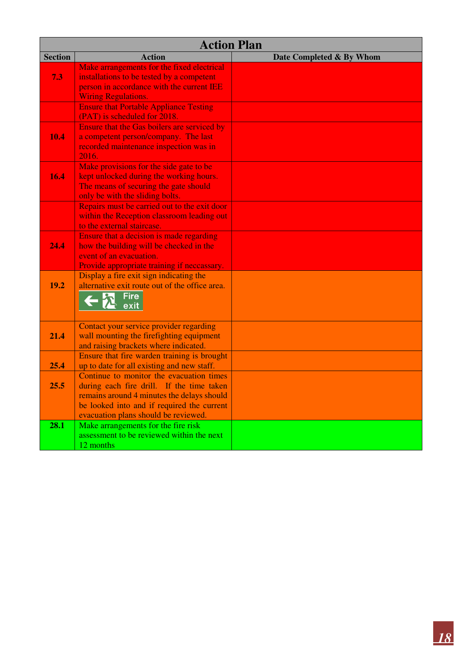| <b>Section</b><br><b>Action</b><br>Date Completed & By Whom<br>Make arrangements for the fixed electrical<br>7.3<br>installations to be tested by a competent<br>person in accordance with the current IEE<br><b>Wiring Regulations.</b><br><b>Ensure that Portable Appliance Testing</b><br>(PAT) is scheduled for 2018.<br>Ensure that the Gas boilers are serviced by<br>10.4<br>a competent person/company. The last<br>recorded maintenance inspection was in<br>2016.<br>Make provisions for the side gate to be<br>16.4<br>kept unlocked during the working hours.<br>The means of securing the gate should<br>only be with the sliding bolts.<br>Repairs must be carried out to the exit door<br>within the Reception classroom leading out<br>to the external staircase.<br>Ensure that a decision is made regarding<br>24.4<br>how the building will be checked in the<br>event of an evacuation.<br>Provide appropriate training if neccassary.<br>Display a fire exit sign indicating the<br>19.2<br>alternative exit route out of the office area.<br><b>Fire</b><br>exit<br>Contact your service provider regarding<br>wall mounting the firefighting equipment<br>21.4<br>and raising brackets where indicated.<br>Ensure that fire warden training is brought<br>25.4<br>up to date for all existing and new staff.<br>Continue to monitor the evacuation times<br>during each fire drill. If the time taken<br>25.5 | <b>Action Plan</b>                         |  |
|--------------------------------------------------------------------------------------------------------------------------------------------------------------------------------------------------------------------------------------------------------------------------------------------------------------------------------------------------------------------------------------------------------------------------------------------------------------------------------------------------------------------------------------------------------------------------------------------------------------------------------------------------------------------------------------------------------------------------------------------------------------------------------------------------------------------------------------------------------------------------------------------------------------------------------------------------------------------------------------------------------------------------------------------------------------------------------------------------------------------------------------------------------------------------------------------------------------------------------------------------------------------------------------------------------------------------------------------------------------------------------------------------------------------------------------|--------------------------------------------|--|
|                                                                                                                                                                                                                                                                                                                                                                                                                                                                                                                                                                                                                                                                                                                                                                                                                                                                                                                                                                                                                                                                                                                                                                                                                                                                                                                                                                                                                                      |                                            |  |
|                                                                                                                                                                                                                                                                                                                                                                                                                                                                                                                                                                                                                                                                                                                                                                                                                                                                                                                                                                                                                                                                                                                                                                                                                                                                                                                                                                                                                                      |                                            |  |
|                                                                                                                                                                                                                                                                                                                                                                                                                                                                                                                                                                                                                                                                                                                                                                                                                                                                                                                                                                                                                                                                                                                                                                                                                                                                                                                                                                                                                                      |                                            |  |
|                                                                                                                                                                                                                                                                                                                                                                                                                                                                                                                                                                                                                                                                                                                                                                                                                                                                                                                                                                                                                                                                                                                                                                                                                                                                                                                                                                                                                                      |                                            |  |
|                                                                                                                                                                                                                                                                                                                                                                                                                                                                                                                                                                                                                                                                                                                                                                                                                                                                                                                                                                                                                                                                                                                                                                                                                                                                                                                                                                                                                                      |                                            |  |
|                                                                                                                                                                                                                                                                                                                                                                                                                                                                                                                                                                                                                                                                                                                                                                                                                                                                                                                                                                                                                                                                                                                                                                                                                                                                                                                                                                                                                                      |                                            |  |
|                                                                                                                                                                                                                                                                                                                                                                                                                                                                                                                                                                                                                                                                                                                                                                                                                                                                                                                                                                                                                                                                                                                                                                                                                                                                                                                                                                                                                                      |                                            |  |
|                                                                                                                                                                                                                                                                                                                                                                                                                                                                                                                                                                                                                                                                                                                                                                                                                                                                                                                                                                                                                                                                                                                                                                                                                                                                                                                                                                                                                                      |                                            |  |
|                                                                                                                                                                                                                                                                                                                                                                                                                                                                                                                                                                                                                                                                                                                                                                                                                                                                                                                                                                                                                                                                                                                                                                                                                                                                                                                                                                                                                                      |                                            |  |
|                                                                                                                                                                                                                                                                                                                                                                                                                                                                                                                                                                                                                                                                                                                                                                                                                                                                                                                                                                                                                                                                                                                                                                                                                                                                                                                                                                                                                                      |                                            |  |
|                                                                                                                                                                                                                                                                                                                                                                                                                                                                                                                                                                                                                                                                                                                                                                                                                                                                                                                                                                                                                                                                                                                                                                                                                                                                                                                                                                                                                                      |                                            |  |
|                                                                                                                                                                                                                                                                                                                                                                                                                                                                                                                                                                                                                                                                                                                                                                                                                                                                                                                                                                                                                                                                                                                                                                                                                                                                                                                                                                                                                                      |                                            |  |
|                                                                                                                                                                                                                                                                                                                                                                                                                                                                                                                                                                                                                                                                                                                                                                                                                                                                                                                                                                                                                                                                                                                                                                                                                                                                                                                                                                                                                                      |                                            |  |
|                                                                                                                                                                                                                                                                                                                                                                                                                                                                                                                                                                                                                                                                                                                                                                                                                                                                                                                                                                                                                                                                                                                                                                                                                                                                                                                                                                                                                                      |                                            |  |
|                                                                                                                                                                                                                                                                                                                                                                                                                                                                                                                                                                                                                                                                                                                                                                                                                                                                                                                                                                                                                                                                                                                                                                                                                                                                                                                                                                                                                                      |                                            |  |
|                                                                                                                                                                                                                                                                                                                                                                                                                                                                                                                                                                                                                                                                                                                                                                                                                                                                                                                                                                                                                                                                                                                                                                                                                                                                                                                                                                                                                                      |                                            |  |
|                                                                                                                                                                                                                                                                                                                                                                                                                                                                                                                                                                                                                                                                                                                                                                                                                                                                                                                                                                                                                                                                                                                                                                                                                                                                                                                                                                                                                                      |                                            |  |
|                                                                                                                                                                                                                                                                                                                                                                                                                                                                                                                                                                                                                                                                                                                                                                                                                                                                                                                                                                                                                                                                                                                                                                                                                                                                                                                                                                                                                                      |                                            |  |
|                                                                                                                                                                                                                                                                                                                                                                                                                                                                                                                                                                                                                                                                                                                                                                                                                                                                                                                                                                                                                                                                                                                                                                                                                                                                                                                                                                                                                                      |                                            |  |
|                                                                                                                                                                                                                                                                                                                                                                                                                                                                                                                                                                                                                                                                                                                                                                                                                                                                                                                                                                                                                                                                                                                                                                                                                                                                                                                                                                                                                                      |                                            |  |
|                                                                                                                                                                                                                                                                                                                                                                                                                                                                                                                                                                                                                                                                                                                                                                                                                                                                                                                                                                                                                                                                                                                                                                                                                                                                                                                                                                                                                                      |                                            |  |
|                                                                                                                                                                                                                                                                                                                                                                                                                                                                                                                                                                                                                                                                                                                                                                                                                                                                                                                                                                                                                                                                                                                                                                                                                                                                                                                                                                                                                                      |                                            |  |
|                                                                                                                                                                                                                                                                                                                                                                                                                                                                                                                                                                                                                                                                                                                                                                                                                                                                                                                                                                                                                                                                                                                                                                                                                                                                                                                                                                                                                                      |                                            |  |
|                                                                                                                                                                                                                                                                                                                                                                                                                                                                                                                                                                                                                                                                                                                                                                                                                                                                                                                                                                                                                                                                                                                                                                                                                                                                                                                                                                                                                                      |                                            |  |
|                                                                                                                                                                                                                                                                                                                                                                                                                                                                                                                                                                                                                                                                                                                                                                                                                                                                                                                                                                                                                                                                                                                                                                                                                                                                                                                                                                                                                                      |                                            |  |
|                                                                                                                                                                                                                                                                                                                                                                                                                                                                                                                                                                                                                                                                                                                                                                                                                                                                                                                                                                                                                                                                                                                                                                                                                                                                                                                                                                                                                                      |                                            |  |
|                                                                                                                                                                                                                                                                                                                                                                                                                                                                                                                                                                                                                                                                                                                                                                                                                                                                                                                                                                                                                                                                                                                                                                                                                                                                                                                                                                                                                                      |                                            |  |
|                                                                                                                                                                                                                                                                                                                                                                                                                                                                                                                                                                                                                                                                                                                                                                                                                                                                                                                                                                                                                                                                                                                                                                                                                                                                                                                                                                                                                                      |                                            |  |
|                                                                                                                                                                                                                                                                                                                                                                                                                                                                                                                                                                                                                                                                                                                                                                                                                                                                                                                                                                                                                                                                                                                                                                                                                                                                                                                                                                                                                                      |                                            |  |
|                                                                                                                                                                                                                                                                                                                                                                                                                                                                                                                                                                                                                                                                                                                                                                                                                                                                                                                                                                                                                                                                                                                                                                                                                                                                                                                                                                                                                                      |                                            |  |
|                                                                                                                                                                                                                                                                                                                                                                                                                                                                                                                                                                                                                                                                                                                                                                                                                                                                                                                                                                                                                                                                                                                                                                                                                                                                                                                                                                                                                                      |                                            |  |
|                                                                                                                                                                                                                                                                                                                                                                                                                                                                                                                                                                                                                                                                                                                                                                                                                                                                                                                                                                                                                                                                                                                                                                                                                                                                                                                                                                                                                                      |                                            |  |
|                                                                                                                                                                                                                                                                                                                                                                                                                                                                                                                                                                                                                                                                                                                                                                                                                                                                                                                                                                                                                                                                                                                                                                                                                                                                                                                                                                                                                                      |                                            |  |
|                                                                                                                                                                                                                                                                                                                                                                                                                                                                                                                                                                                                                                                                                                                                                                                                                                                                                                                                                                                                                                                                                                                                                                                                                                                                                                                                                                                                                                      |                                            |  |
|                                                                                                                                                                                                                                                                                                                                                                                                                                                                                                                                                                                                                                                                                                                                                                                                                                                                                                                                                                                                                                                                                                                                                                                                                                                                                                                                                                                                                                      | remains around 4 minutes the delays should |  |
| be looked into and if required the current                                                                                                                                                                                                                                                                                                                                                                                                                                                                                                                                                                                                                                                                                                                                                                                                                                                                                                                                                                                                                                                                                                                                                                                                                                                                                                                                                                                           |                                            |  |
| evacuation plans should be reviewed.                                                                                                                                                                                                                                                                                                                                                                                                                                                                                                                                                                                                                                                                                                                                                                                                                                                                                                                                                                                                                                                                                                                                                                                                                                                                                                                                                                                                 |                                            |  |
| 28.1<br>Make arrangements for the fire risk                                                                                                                                                                                                                                                                                                                                                                                                                                                                                                                                                                                                                                                                                                                                                                                                                                                                                                                                                                                                                                                                                                                                                                                                                                                                                                                                                                                          |                                            |  |
| assessment to be reviewed within the next                                                                                                                                                                                                                                                                                                                                                                                                                                                                                                                                                                                                                                                                                                                                                                                                                                                                                                                                                                                                                                                                                                                                                                                                                                                                                                                                                                                            |                                            |  |
| 12 months                                                                                                                                                                                                                                                                                                                                                                                                                                                                                                                                                                                                                                                                                                                                                                                                                                                                                                                                                                                                                                                                                                                                                                                                                                                                                                                                                                                                                            |                                            |  |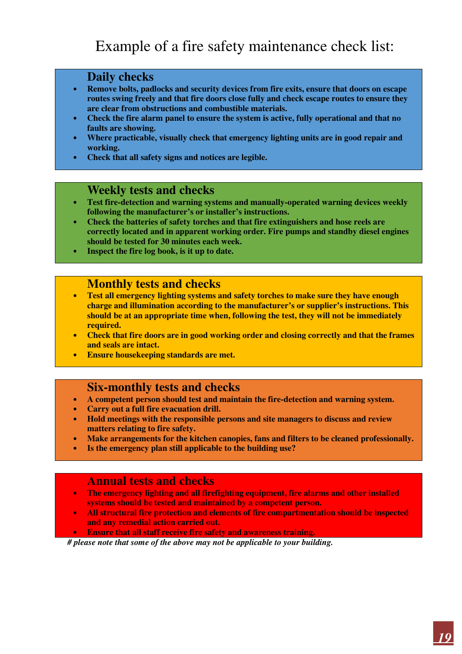## Example of a fire safety maintenance check list:

#### **Daily checks**

- **Remove bolts, padlocks and security devices from fire exits, ensure that doors on escape routes swing freely and that fire doors close fully and check escape routes to ensure they are clear from obstructions and combustible materials.**
- **Check the fire alarm panel to ensure the system is active, fully operational and that no faults are showing.**
- **Where practicable, visually check that emergency lighting units are in good repair and working.**
- **Check that all safety signs and notices are legible.**

#### **Weekly tests and checks**

- **Test fire-detection and warning systems and manually-operated warning devices weekly following the manufacturer's or installer's instructions.**
- **Check the batteries of safety torches and that fire extinguishers and hose reels are correctly located and in apparent working order. Fire pumps and standby diesel engines should be tested for 30 minutes each week.**
- **Inspect the fire log book, is it up to date.**

#### **Monthly tests and checks**

- **Test all emergency lighting systems and safety torches to make sure they have enough charge and illumination according to the manufacturer's or supplier's instructions. This should be at an appropriate time when, following the test, they will not be immediately required.**
- **Check that fire doors are in good working order and closing correctly and that the frames and seals are intact.**
- **Ensure housekeeping standards are met.**

#### **Six-monthly tests and checks**

- **A competent person should test and maintain the fire-detection and warning system.**
- **Carry out a full fire evacuation drill.**
- **Hold meetings with the responsible persons and site managers to discuss and review matters relating to fire safety.**
- **Make arrangements for the kitchen canopies, fans and filters to be cleaned professionally.**
- **Is the emergency plan still applicable to the building use?**

#### **Annual tests and checks**

- **The emergency lighting and all firefighting equipment, fire alarms and other installed systems should be tested and maintained by a competent person.**
- **All structural fire protection and elements of fire compartmentation should be inspected and any remedial action carried out.**

• **Ensure that all staff receive fire safety and awareness training.** 

 *# please note that some of the above may not be applicable to your building.*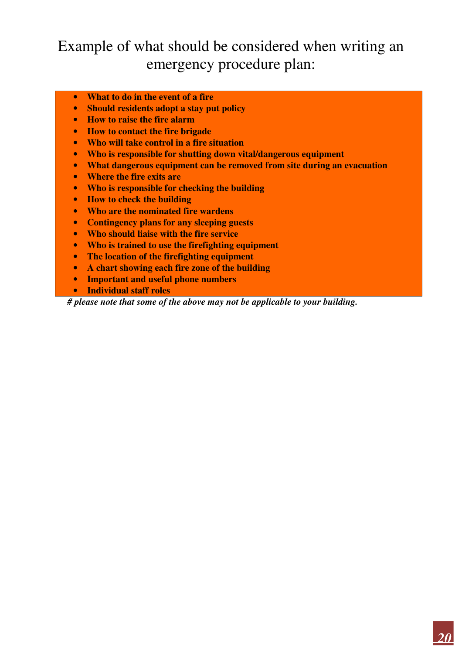## Example of what should be considered when writing an emergency procedure plan:

- **What to do in the event of a fire**
- **Should residents adopt a stay put policy**
- **How to raise the fire alarm**
- **How to contact the fire brigade**
- **Who will take control in a fire situation**
- **Who is responsible for shutting down vital/dangerous equipment**
- **What dangerous equipment can be removed from site during an evacuation**
- **Where the fire exits are**
- **Who is responsible for checking the building**
- **How to check the building**
- **Who are the nominated fire wardens**
- **Contingency plans for any sleeping guests**
- **Who should liaise with the fire service**
- **Who is trained to use the firefighting equipment**
- **The location of the firefighting equipment**
- **A chart showing each fire zone of the building**
- **Important and useful phone numbers**
- **Individual staff roles**

*# please note that some of the above may not be applicable to your building.*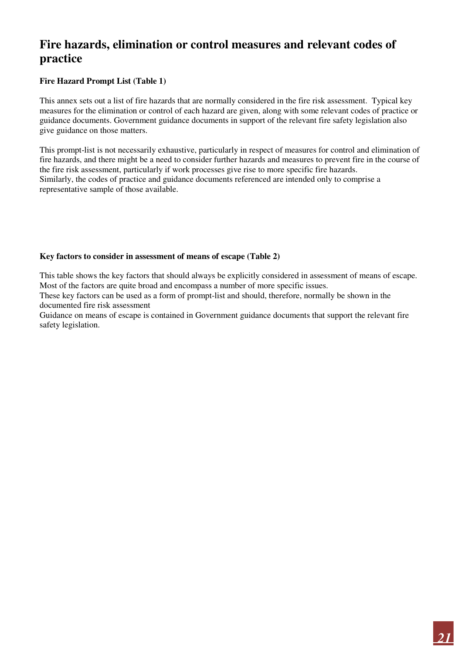## **Fire hazards, elimination or control measures and relevant codes of practice**

#### **Fire Hazard Prompt List (Table 1)**

This annex sets out a list of fire hazards that are normally considered in the fire risk assessment. Typical key measures for the elimination or control of each hazard are given, along with some relevant codes of practice or guidance documents. Government guidance documents in support of the relevant fire safety legislation also give guidance on those matters.

This prompt-list is not necessarily exhaustive, particularly in respect of measures for control and elimination of fire hazards, and there might be a need to consider further hazards and measures to prevent fire in the course of the fire risk assessment, particularly if work processes give rise to more specific fire hazards. Similarly, the codes of practice and guidance documents referenced are intended only to comprise a representative sample of those available.

#### **Key factors to consider in assessment of means of escape (Table 2)**

This table shows the key factors that should always be explicitly considered in assessment of means of escape. Most of the factors are quite broad and encompass a number of more specific issues.

These key factors can be used as a form of prompt-list and should, therefore, normally be shown in the documented fire risk assessment

Guidance on means of escape is contained in Government guidance documents that support the relevant fire safety legislation.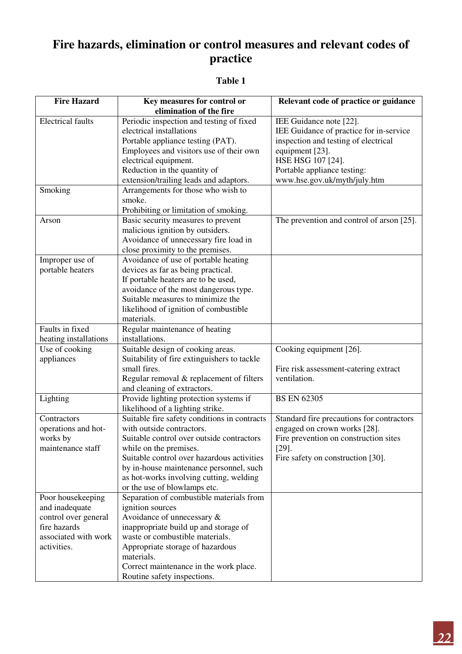## **Fire hazards, elimination or control measures and relevant codes of practice**

#### **Table 1**

| <b>Fire Hazard</b>       | Key measures for control or<br>elimination of the fire | Relevant code of practice or guidance     |
|--------------------------|--------------------------------------------------------|-------------------------------------------|
| <b>Electrical faults</b> | Periodic inspection and testing of fixed               | IEE Guidance note [22].                   |
|                          | electrical installations                               | IEE Guidance of practice for in-service   |
|                          | Portable appliance testing (PAT).                      | inspection and testing of electrical      |
|                          | Employees and visitors use of their own                | equipment [23].                           |
|                          | electrical equipment.                                  | HSE HSG 107 [24].                         |
|                          | Reduction in the quantity of                           | Portable appliance testing:               |
|                          | extension/trailing leads and adaptors.                 | www.hse.gov.uk/myth/july.htm              |
| Smoking                  | Arrangements for those who wish to                     |                                           |
|                          | smoke.                                                 |                                           |
|                          | Prohibiting or limitation of smoking.                  |                                           |
| Arson                    | Basic security measures to prevent                     | The prevention and control of arson [25]. |
|                          | malicious ignition by outsiders.                       |                                           |
|                          | Avoidance of unnecessary fire load in                  |                                           |
|                          | close proximity to the premises.                       |                                           |
| Improper use of          | Avoidance of use of portable heating                   |                                           |
| portable heaters         | devices as far as being practical.                     |                                           |
|                          | If portable heaters are to be used,                    |                                           |
|                          | avoidance of the most dangerous type.                  |                                           |
|                          | Suitable measures to minimize the                      |                                           |
|                          | likelihood of ignition of combustible                  |                                           |
|                          | materials.                                             |                                           |
| Faults in fixed          | Regular maintenance of heating                         |                                           |
| heating installations    | installations.                                         |                                           |
| Use of cooking           | Suitable design of cooking areas.                      | Cooking equipment [26].                   |
| appliances               | Suitability of fire extinguishers to tackle            |                                           |
|                          | small fires.                                           | Fire risk assessment-catering extract     |
|                          | Regular removal & replacement of filters               | ventilation.                              |
|                          | and cleaning of extractors.                            |                                           |
| Lighting                 | Provide lighting protection systems if                 | <b>BS EN 62305</b>                        |
|                          | likelihood of a lighting strike.                       |                                           |
| Contractors              | Suitable fire safety conditions in contracts           | Standard fire precautions for contractors |
| operations and hot-      | with outside contractors.                              | engaged on crown works [28].              |
| works by                 | Suitable control over outside contractors              | Fire prevention on construction sites     |
| maintenance staff        | while on the premises.                                 | $[29]$ .                                  |
|                          | Suitable control over hazardous activities             | Fire safety on construction [30].         |
|                          | by in-house maintenance personnel, such                |                                           |
|                          | as hot-works involving cutting, welding                |                                           |
|                          | or the use of blowlamps etc.                           |                                           |
| Poor housekeeping        | Separation of combustible materials from               |                                           |
| and inadequate           | ignition sources                                       |                                           |
| control over general     | Avoidance of unnecessary &                             |                                           |
| fire hazards             | inappropriate build up and storage of                  |                                           |
| associated with work     | waste or combustible materials.                        |                                           |
| activities.              | Appropriate storage of hazardous                       |                                           |
|                          | materials.                                             |                                           |
|                          | Correct maintenance in the work place.                 |                                           |
|                          | Routine safety inspections.                            |                                           |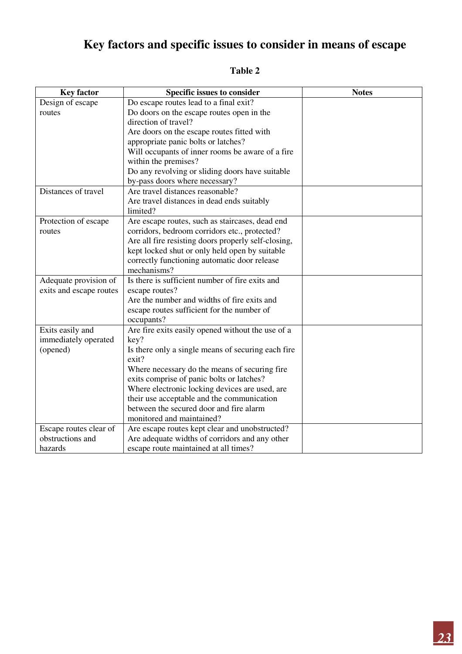## **Key factors and specific issues to consider in means of escape**

| <b>Key factor</b>       | <b>Specific issues to consider</b>                  | <b>Notes</b> |
|-------------------------|-----------------------------------------------------|--------------|
| Design of escape        | Do escape routes lead to a final exit?              |              |
| routes                  | Do doors on the escape routes open in the           |              |
|                         | direction of travel?                                |              |
|                         | Are doors on the escape routes fitted with          |              |
|                         | appropriate panic bolts or latches?                 |              |
|                         | Will occupants of inner rooms be aware of a fire    |              |
|                         | within the premises?                                |              |
|                         | Do any revolving or sliding doors have suitable     |              |
|                         | by-pass doors where necessary?                      |              |
| Distances of travel     | Are travel distances reasonable?                    |              |
|                         | Are travel distances in dead ends suitably          |              |
|                         | limited?                                            |              |
| Protection of escape    | Are escape routes, such as staircases, dead end     |              |
| routes                  | corridors, bedroom corridors etc., protected?       |              |
|                         | Are all fire resisting doors properly self-closing, |              |
|                         | kept locked shut or only held open by suitable      |              |
|                         | correctly functioning automatic door release        |              |
|                         | mechanisms?                                         |              |
| Adequate provision of   | Is there is sufficient number of fire exits and     |              |
| exits and escape routes | escape routes?                                      |              |
|                         | Are the number and widths of fire exits and         |              |
|                         | escape routes sufficient for the number of          |              |
|                         | occupants?                                          |              |
| Exits easily and        | Are fire exits easily opened without the use of a   |              |
| immediately operated    | key?                                                |              |
| (opened)                | Is there only a single means of securing each fire  |              |
|                         | exit?                                               |              |
|                         | Where necessary do the means of securing fire       |              |
|                         | exits comprise of panic bolts or latches?           |              |
|                         | Where electronic locking devices are used, are      |              |
|                         | their use acceptable and the communication          |              |
|                         | between the secured door and fire alarm             |              |
|                         | monitored and maintained?                           |              |
| Escape routes clear of  | Are escape routes kept clear and unobstructed?      |              |
| obstructions and        | Are adequate widths of corridors and any other      |              |
| hazards                 | escape route maintained at all times?               |              |

## **Table 2**